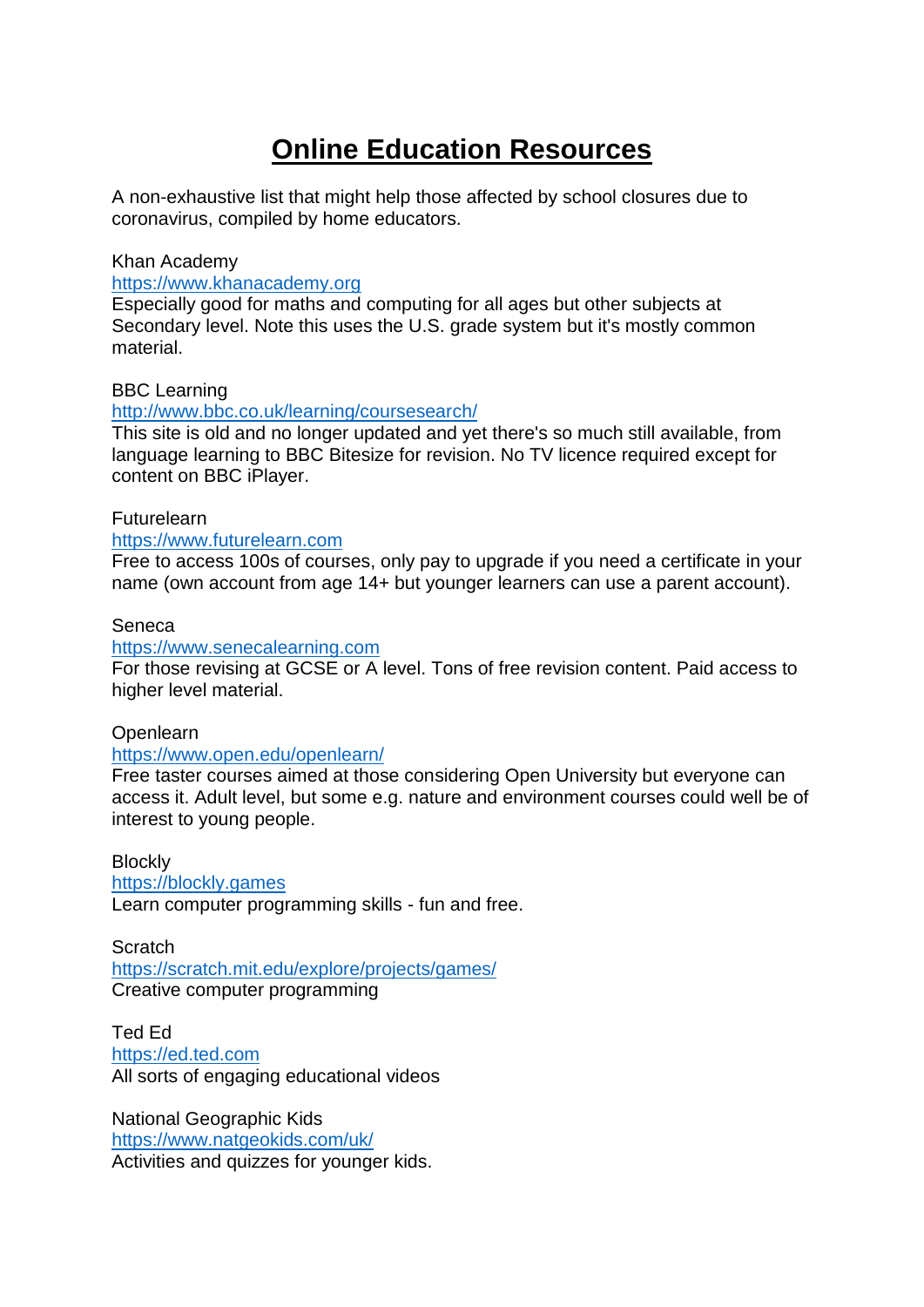# **Online Education Resources**

A non-exhaustive list that might help those affected by school closures due to coronavirus, compiled by home educators.

#### Khan Academy

[https://www.khanacademy.org](https://www.khanacademy.org/)

Especially good for maths and computing for all ages but other subjects at Secondary level. Note this uses the U.S. grade system but it's mostly common material.

## BBC Learning

#### <http://www.bbc.co.uk/learning/coursesearch/>

This site is old and no longer updated and yet there's so much still available, from language learning to BBC Bitesize for revision. No TV licence required except for content on BBC iPlayer.

#### Futurelearn

#### [https://www.futurelearn.com](https://www.futurelearn.com/)

Free to access 100s of courses, only pay to upgrade if you need a certificate in your name (own account from age 14+ but younger learners can use a parent account).

#### Seneca

#### [https://www.senecalearning.com](https://www.senecalearning.com/)

For those revising at GCSE or A level. Tons of free revision content. Paid access to higher level material.

#### Openlearn

#### <https://www.open.edu/openlearn/>

Free taster courses aimed at those considering Open University but everyone can access it. Adult level, but some e.g. nature and environment courses could well be of interest to young people.

### **Blockly** [https://blockly.games](https://blockly.games/) Learn computer programming skills - fun and free.

**Scratch** <https://scratch.mit.edu/explore/projects/games/> Creative computer programming

Ted Ed [https://ed.ted.com](https://ed.ted.com/) All sorts of engaging educational videos

National Geographic Kids <https://www.natgeokids.com/uk/> Activities and quizzes for younger kids.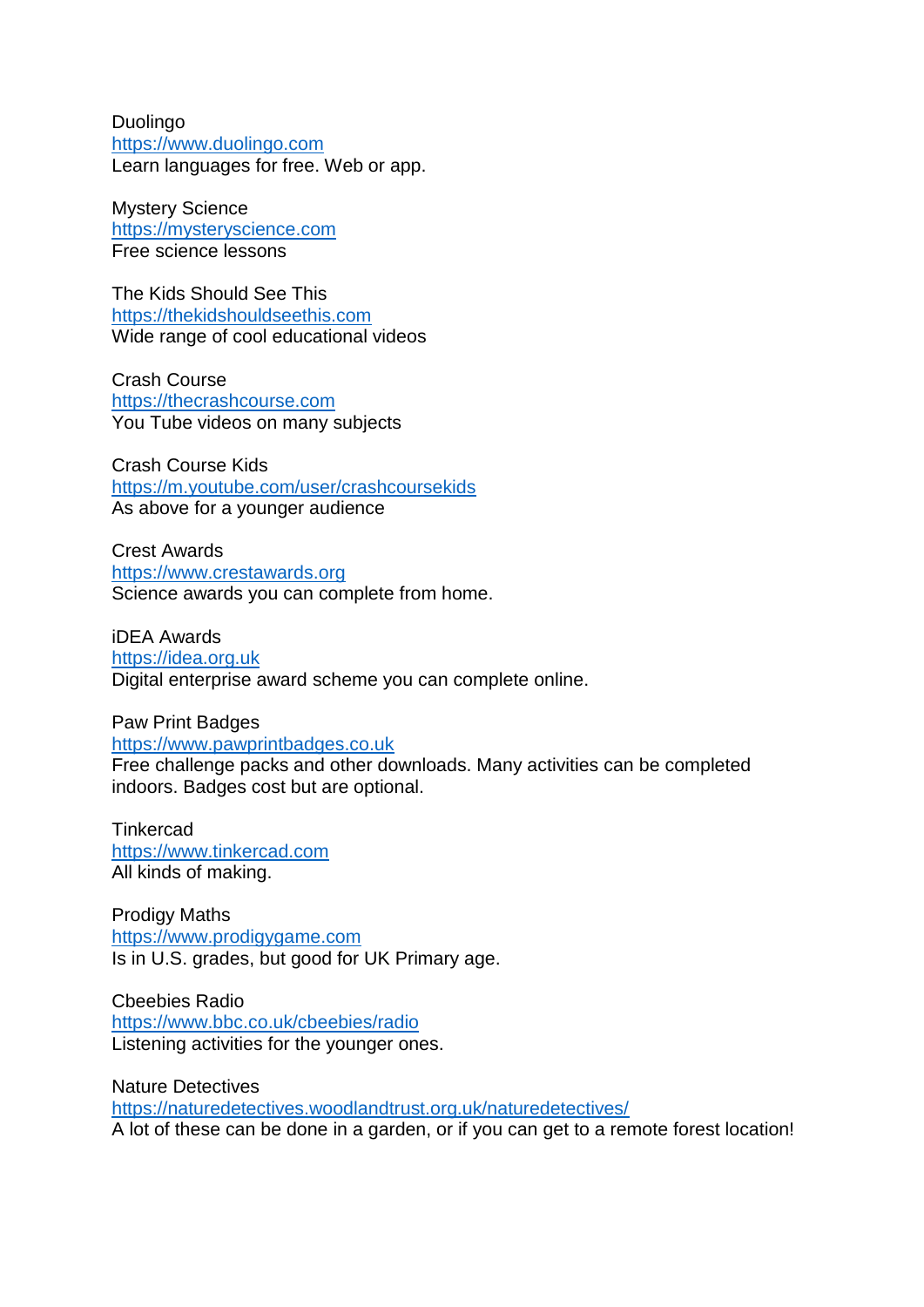Duolingo [https://www.duolingo.com](https://www.duolingo.com/) Learn languages for free. Web or app.

Mystery Science [https://mysteryscience.com](https://mysteryscience.com/) Free science lessons

The Kids Should See This [https://thekidshouldseethis.com](https://thekidshouldseethis.com/) Wide range of cool educational videos

Crash Course [https://thecrashcourse.com](https://thecrashcourse.com/) You Tube videos on many subjects

Crash Course Kids <https://m.youtube.com/user/crashcoursekids> As above for a younger audience

Crest Awards [https://www.crestawards.org](https://www.crestawards.org/) Science awards you can complete from home.

iDEA Awards [https://idea.org.uk](https://idea.org.uk/) Digital enterprise award scheme you can complete online.

Paw Print Badges [https://www.pawprintbadges.co.uk](https://www.pawprintbadges.co.uk/)

Free challenge packs and other downloads. Many activities can be completed indoors. Badges cost but are optional.

**Tinkercad** [https://www.tinkercad.com](https://www.tinkercad.com/) All kinds of making.

Prodigy Maths [https://www.prodigygame.com](https://www.prodigygame.com/) Is in U.S. grades, but good for UK Primary age.

Cbeebies Radio <https://www.bbc.co.uk/cbeebies/radio> Listening activities for the younger ones.

Nature Detectives <https://naturedetectives.woodlandtrust.org.uk/naturedetectives/> A lot of these can be done in a garden, or if you can get to a remote forest location!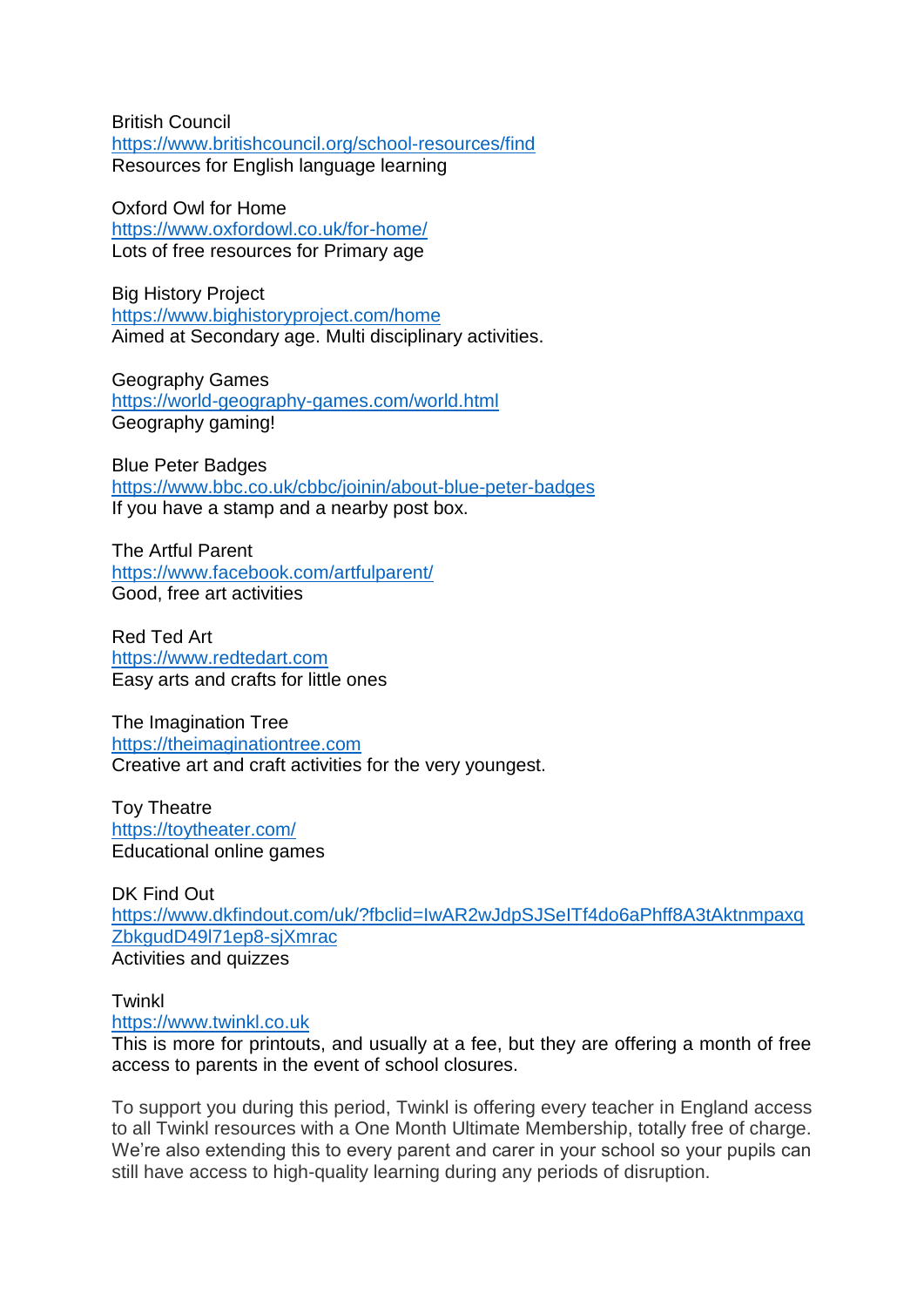British Council <https://www.britishcouncil.org/school-resources/find> Resources for English language learning

Oxford Owl for Home <https://www.oxfordowl.co.uk/for-home/> Lots of free resources for Primary age

Big History Project <https://www.bighistoryproject.com/home> Aimed at Secondary age. Multi disciplinary activities.

Geography Games <https://world-geography-games.com/world.html> Geography gaming!

Blue Peter Badges <https://www.bbc.co.uk/cbbc/joinin/about-blue-peter-badges> If you have a stamp and a nearby post box.

The Artful Parent <https://www.facebook.com/artfulparent/> Good, free art activities

Red Ted Art [https://www.redtedart.com](https://www.redtedart.com/) Easy arts and crafts for little ones

The Imagination Tree [https://theimaginationtree.com](https://theimaginationtree.com/) Creative art and craft activities for the very youngest.

Toy Theatre <https://toytheater.com/> Educational online games

DK Find Out [https://www.dkfindout.com/uk/?fbclid=IwAR2wJdpSJSeITf4do6aPhff8A3tAktnmpaxq](https://www.dkfindout.com/uk/?fbclid=IwAR2wJdpSJSeITf4do6aPhff8A3tAktnmpaxqZbkgudD49l71ep8-sjXmrac) [ZbkgudD49l71ep8-sjXmrac](https://www.dkfindout.com/uk/?fbclid=IwAR2wJdpSJSeITf4do6aPhff8A3tAktnmpaxqZbkgudD49l71ep8-sjXmrac) Activities and quizzes

**Twinkl** 

[https://www.twinkl.co.uk](https://www.twinkl.co.uk/)

This is more for printouts, and usually at a fee, but they are offering a month of free access to parents in the event of school closures.

To support you during this period, Twinkl is offering every teacher in England access to all Twinkl resources with a One Month Ultimate Membership, totally free of charge. We're also extending this to every parent and carer in your school so your pupils can still have access to high-quality learning during any periods of disruption.